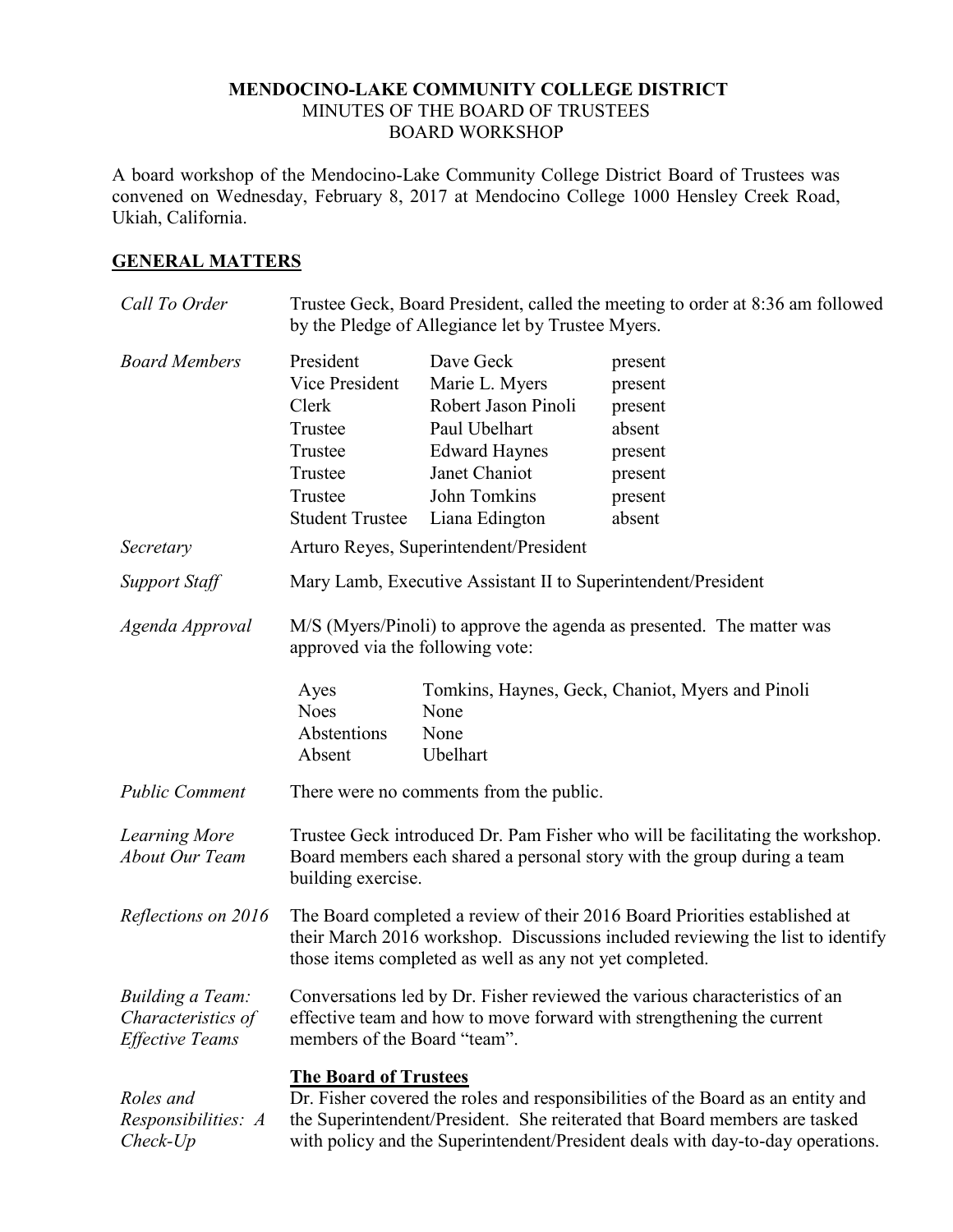## **MENDOCINO-LAKE COMMUNITY COLLEGE DISTRICT** MINUTES OF THE BOARD OF TRUSTEES BOARD WORKSHOP

A board workshop of the Mendocino-Lake Community College District Board of Trustees was convened on Wednesday, February 8, 2017 at Mendocino College 1000 Hensley Creek Road, Ukiah, California.

## **GENERAL MATTERS**

| Call To Order                                                    | Trustee Geck, Board President, called the meeting to order at 8:36 am followed<br>by the Pledge of Allegiance let by Trustee Myers.                                                                                                                                             |                                                                                                                                                |                                                                                    |
|------------------------------------------------------------------|---------------------------------------------------------------------------------------------------------------------------------------------------------------------------------------------------------------------------------------------------------------------------------|------------------------------------------------------------------------------------------------------------------------------------------------|------------------------------------------------------------------------------------|
| <b>Board Members</b>                                             | President<br>Vice President<br>Clerk<br>Trustee<br>Trustee<br>Trustee<br>Trustee<br><b>Student Trustee</b>                                                                                                                                                                      | Dave Geck<br>Marie L. Myers<br>Robert Jason Pinoli<br>Paul Ubelhart<br><b>Edward Haynes</b><br>Janet Chaniot<br>John Tomkins<br>Liana Edington | present<br>present<br>present<br>absent<br>present<br>present<br>present<br>absent |
| Secretary                                                        | Arturo Reyes, Superintendent/President                                                                                                                                                                                                                                          |                                                                                                                                                |                                                                                    |
| <b>Support Staff</b>                                             | Mary Lamb, Executive Assistant II to Superintendent/President                                                                                                                                                                                                                   |                                                                                                                                                |                                                                                    |
| Agenda Approval                                                  | M/S (Myers/Pinoli) to approve the agenda as presented. The matter was<br>approved via the following vote:                                                                                                                                                                       |                                                                                                                                                |                                                                                    |
|                                                                  | Ayes<br><b>Noes</b><br>Abstentions<br>Absent                                                                                                                                                                                                                                    | None<br>None<br>Ubelhart                                                                                                                       | Tomkins, Haynes, Geck, Chaniot, Myers and Pinoli                                   |
| <b>Public Comment</b>                                            | There were no comments from the public.                                                                                                                                                                                                                                         |                                                                                                                                                |                                                                                    |
| Learning More<br><b>About Our Team</b>                           | Trustee Geck introduced Dr. Pam Fisher who will be facilitating the workshop.<br>Board members each shared a personal story with the group during a team<br>building exercise.                                                                                                  |                                                                                                                                                |                                                                                    |
| Reflections on 2016                                              | The Board completed a review of their 2016 Board Priorities established at<br>their March 2016 workshop. Discussions included reviewing the list to identify<br>those items completed as well as any not yet completed.                                                         |                                                                                                                                                |                                                                                    |
| Building a Team:<br>Characteristics of<br><b>Effective Teams</b> | Conversations led by Dr. Fisher reviewed the various characteristics of an<br>effective team and how to move forward with strengthening the current<br>members of the Board "team".                                                                                             |                                                                                                                                                |                                                                                    |
| Roles and<br>Responsibilities: A<br>$Check$ - $Up$               | <b>The Board of Trustees</b><br>Dr. Fisher covered the roles and responsibilities of the Board as an entity and<br>the Superintendent/President. She reiterated that Board members are tasked<br>with policy and the Superintendent/President deals with day-to-day operations. |                                                                                                                                                |                                                                                    |